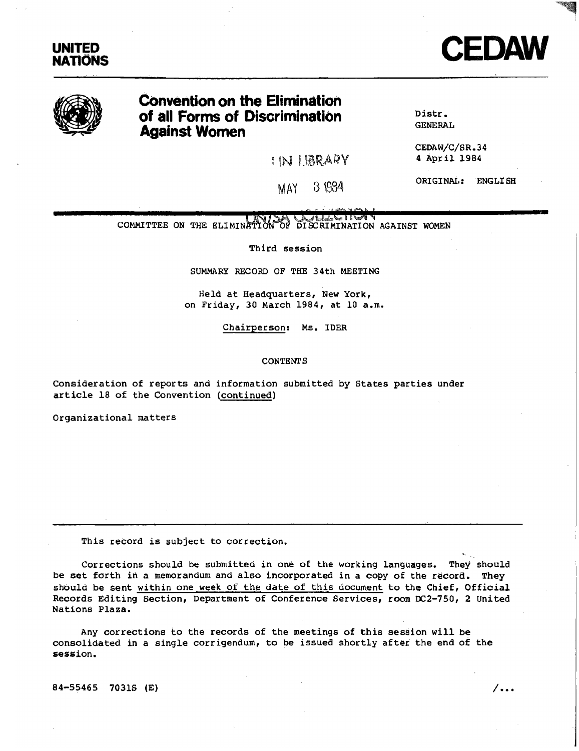



# **Convention on the Elimination of all Forms of Discrimination Against Women**

IN U:BRARY

Distr. GENERAL

CEDAW/C/SR.34 4 April 1984

ORIGINAL: ENGLISH

MAY [3 1984

 $J_1$  , and  $J_2$  and  $J_3$  and  $J_4$ COMMITTEE ON THE ELIMINATION OF DISCRIMINATION AGAINST WOMEN

Third session

SUMMARY RECORD OF THE 34th MEETING

Held at Headquarters, New York, on Friday, 30 March 1984, at 10 a.m.

ChairpersQn: Ms. lDER

CONTENTS

Consideration of reports and information submitted by States parties under article 18 of the Convention (continued)

Organizational matters

This record is subject to correction.

Corrections should be submitted in one of the working languages. They should be set forth in a memorandum and also incorporated in a copy of the record. They should be sent within one week of the date of this document to the Chief, Official Records Editing Section, Department of Conference Services, room OC2-750, 2 United Nations Plaza.

Any corrections to the records of the meetings of this session will be consolidated in a single corrigendum, to be issued shortly after the end of the session.

 $84-55465$  70315 (E)  $\sqrt{...}$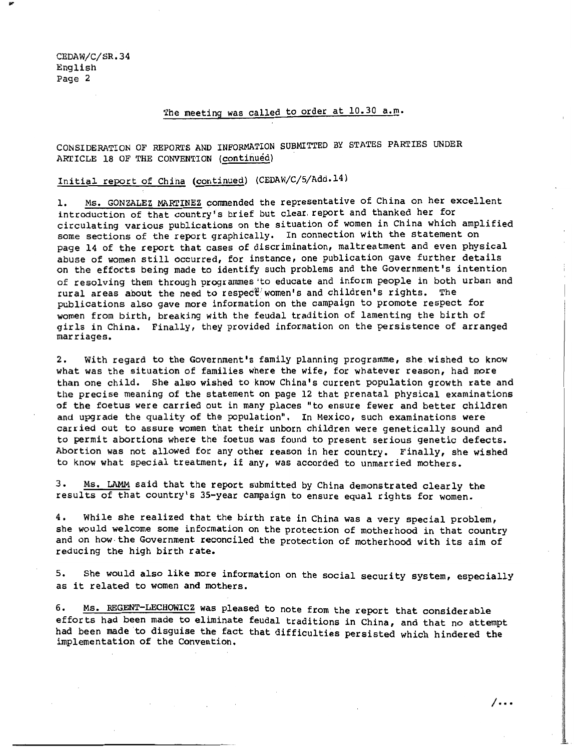## The meeting was called to order at 10.30 a.m.

### CONSIDERATION OF REPORTS AND INFORMATION SUBMITTED BY STATES PARTIES UNDER ARTICLE 18 OF THE CONVENTION (continued)

## Initial report of China (continued) (CEDAW/C/5/Add.14)

1. Ms. GONZALEZ MARTINEZ commended the representative of China on her excellent introduction of that country's br ief but clear. report and thanked her for circulating various publications on the situation of women in China which amplified some sections of the report graphically. In connection with the statement on page 14 of the report that cases of discrimination, maltreatment and even physical abuse of women still occurred, for instance, one publication gave further details on the efforts being made to identify such problems and the Government's intention of resolving them through programmes 'to educate and inform people in both urban and rural areas about the need to respec $\mathfrak{C}^j$  women's and children's rights. The publications also gave more information on the campaign to promote respect for women from birth, breaking with the feudal tradition of lamenting the birth of girls in China. Finally, they provided information on the persistence of arranged marriages.

2. With regard to the Government's family planning programme, she. wished to know what was the situation of families where the wife, for whatever reason, had more than one child. She also wished to know China's current population growth rate and the precise meaning of the statement on page 12 that prenatal physical examinations of the foetus were carried out in many places "to ensure fewer and better children and upgrade the quality of the population". In Mexico, such examinations were carried out to assure women that their unborn children were genetically sound and to permit abortions where the foetus was found to present serious genetic defects. Abortion was not allowed for any other reason in her country. Finally, she wished to know what special treatment, if any, was accorded to unmarried mothers.

3. Ms. LAMM said that the report submitted by China demonstrated clearly the results of that country's 35-year campaign to ensure equal rights for women.

4. While she realized that the birth rate in China was a very special problem, she would welcome some information on the protection of motherhood in that country and on how· the Government reconciled the protection of motherhood with its aim of reducing the high birth rate.

5. She would also like more information on the social security system, especially as it related to women and mothers.

6. Ms. REGENT-LECHOWICZ was pleased to note from the report that considerable efforts had been made to eliminate feudal traditions in China, and that no attempt had been made to disguise the fact that difficulties persisted which hindered the implementation of the Convention.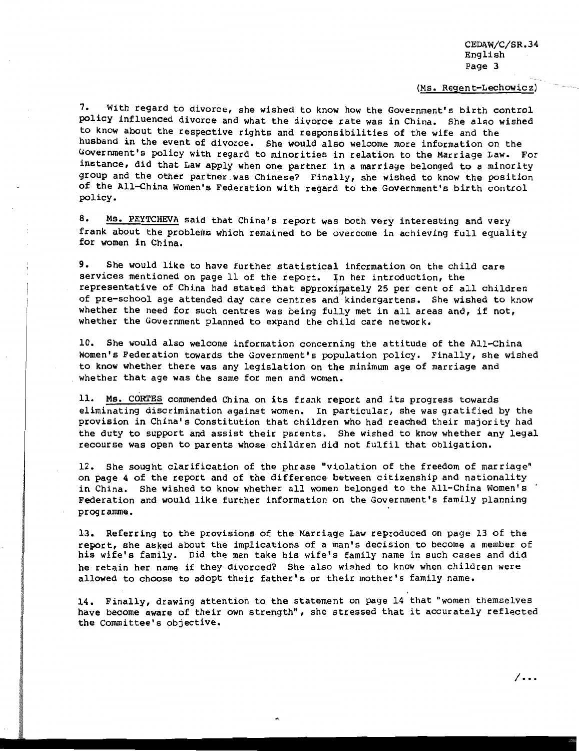#### (Ms. Regent-Lechowicz)

7. With regard to divorce, she wished to know how the Government's birth control policy influenced divorce and what the divorce rate was in China. She also wished to know about the respective rights and responsibilities of the wife and the husband in the event of divorce. She would also welcome more information on the Government's policy with regard to minorities in relation to the Marriage Law. For instance, did that Law apply when one partner in a marriage belonged to a minority group and the other partner was Chinese? Finally, she wished to know the position of the AlI-China Women's Federation with regard to the Government's birth control policy.

8. Ms. PEYTCHEVA said that China's report was both very interesting and very frank about the problems which remained to be overcome in achieving full equality for women in China.

9. She would like to have further statistical information on the child care services mentioned on page 11 of the report. In her introduction, the representative of China had stated that approximately 25 per cent of all children of pre-school age attended day care centres and kindergartens. She wished to know whether the need for such centres was being fully met in all areas and, if not, whether the Government planned to expand the child care network.

10. She would also welcome information concerning the attitude of the AII-China Women's Federation towards the Government's population policy. Finally, she wished to know whether there was any legislation on the minimum age of marriage and whether that age was the same for men and women.

11. Ms. CORTES commended China on its frank report and its progress towards eliminating discrimination against women. In particular, she was gratified by the provision in China's Constitution that children who had reached their majority had the duty to support and assist their parents. She wished to know whether any legal recourse was open to parents whose children did not fulfil that obligation.

12. She sought clarification of the phrase "violation of the freedom of marriage" on page 4 of the report and of the difference between citizenship and nationality in China. She wished to know whether all women belonged to the All-China Women's Federation and would like further information on the Government's family planning programme.

13. Referring to the provisions of the Marriage Law reproduced on page 13 of the report, she asked about the implications of a man's decision to become a member of his wife's family. Did the man take his wife's family name in such cases and did he retain her name if they divorced? She also wished to know when children were allowed to choose to adopt their father's or their mother's family name.

14. Finally, drawing attention to the statement on page 14 that "women themselves have become aware of their own strength", she stressed that it accurately reflected the Committee's objective.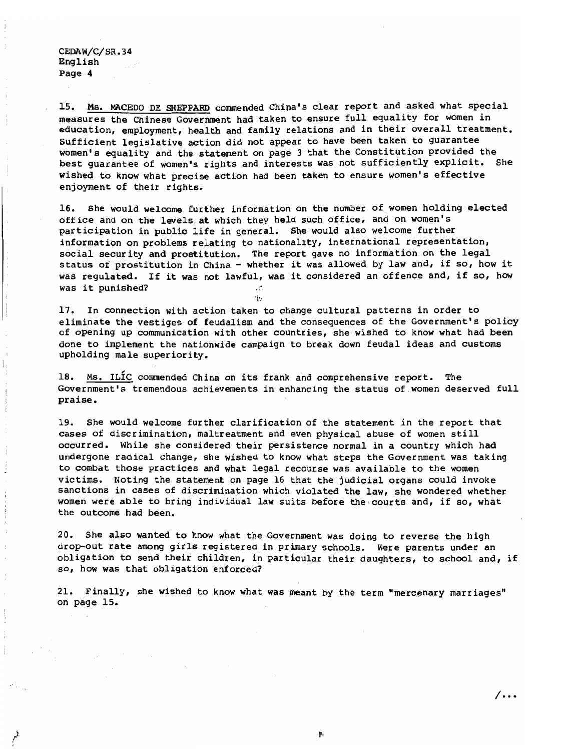15. Ms. MACEDQ DE SHEPPARD commended China's clear report and asked what special measures the Chinese Government had taken to ensure full equality for women in education, employment, health and family relations and in their overall treatment. Sufficient legislative action did not appear to have been taken to guarantee women's equality and the statement on page 3 that the Constitution provided the best guarantee of women's rights and interests was not sufficiently explicit. She wished to know what precise action had been taken to ensure women's effective enjoyment of their rights.

16. She would welcome further information on the number of women holding elected office and on the levels at which they hela such office, and on women's participation in public life in general. She would also welcome further information on problems relating to nationality, international representation, social security and prostitution. The report gave no information on the legal status of prostitution in China - whether it was allowed by law and, if so, how it was regulated. If it was not lawful, was it considered an offence and, if so, how was it punished?  $\blacksquare$ 

'I,:

17. In connection with action taken to change cultural patterns in order to eliminate the vestiges of feudalism and the consequences of the Government's policy of opening up communication with other countries, she wished to know what had been done to implement the nationwide campaign to break down feudal ideas and customs upholding male superiority.

18. Ms. ILIC commended China on its frank and comprehensive report. The Government's tremendous achievements in enhancing the status of women deserved full praise.

19. She would welcome further clarification of the statement in the report that cases of discrimination, maltreatment and even physical abuse of women still occurred. While she considered their persistence normal in a country which had undergone radical change, she wished to know what steps the Government was taking to combat those practices and what legal recourse was available to the women victims. Noting the statement on page 16 that the judicial organs could invoke sanctions in cases of discrimination which violated the law, she wondered whether women were able to bring individual law suits before the courts and, if so, what the outcome had been.

20. She also wanted to know what the Government was doing to reverse the high drop-out rate among girls registered in primary schools. Were parents under an obligation to send their children, in particular their daughters, to school and, if so, how was that obligation enforced?

21. Finally, she wished to know what was meant by the term "mercenary marr iages" on page 15.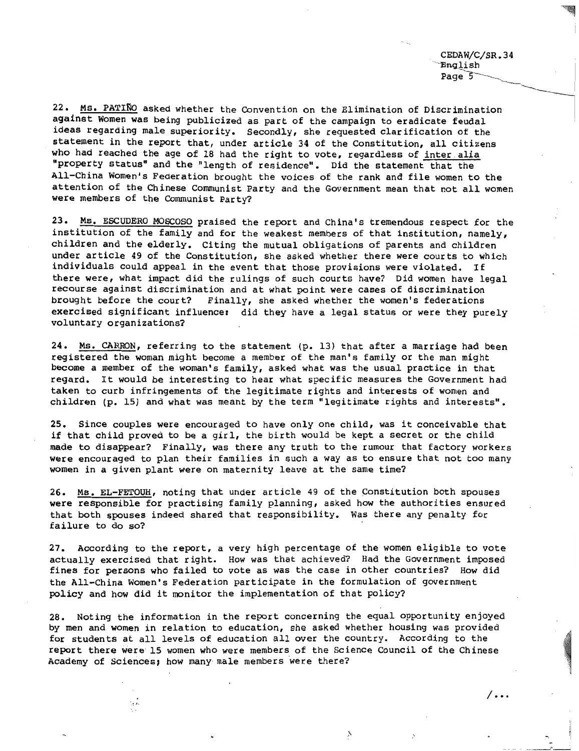CEDAW/C/SR.34 'English Page  $\overline{5}$ 

22. Ms. PATINO asked whether the Convention on the Elimination of Discrimination against Women was being publicized as part of the campaign to eradicate feudal ideas regarding male superiority. Secondly, she requested clarification of the statement in the report that, under article 34 of the Constitution, all citizens who had reached the age of 18 had the right to vote, regardless of inter alia "property status" and the "length of residence". Did the statement that the All-China Women's Federation brought the voices of the rank and file women to the attention of the Chinese Communist Party and the Government mean that not all women were members of the Communist Party?

23. Ms. ESCUDERO MOSCOSO praised the report and China's tremendous respect for the institution of the family and for the weakest members of that institution, namely, children and the elderly. Citing the mutual obligations of parents and children under article 49 of the Constitution, she asked whether there were courts to which individuals could appeal in the event that those provisions were violated. If there were, what impact did the rulings of such courts have? Did women have legal recourse against discrimination and at what point were cases of discrimination brought before the court? Finally, she asked whether the women's federations exercised significant influence: did they have a legal status or were they purely voluntary organizations?

24. Ms. CARRON, referring to the statement (p. 13) that after a marriage had been registered the woman might become a member of the man's family or the man might become a member of the woman's family, asked what was the usual practice in that regard. It would be interesting to hear what specific measures the Government had taken to curb infringements of the legitimate rights and interests of women and children (p. 15) and what was meant by the term "legitimate rights and interests".

25. Since couples were encouraged to have only one child, was it conceivable that if that child proved to be a girl, the birth would be kept a secret or the child made to disappear? Finally, was there any truth to the rumour that factory workers were encouraged to plan their families in such a way as to ensure that not too many women in a given plant were on maternity leave at the same time?

26. MS. EL-FETOUH, noting that under article 49 of the Constitution both spouses were responsible for practising family planning, asked how the authorities ensured that both spouses indeed shared that responsibility. Was there any penalty for failure to do so?

27. According to the report, a very high percentage of the women eligible to vote actually exercised that right. How was that achieved? Had the Government imposed fines for persons who failed to vote as was the case in other countries? How did the All-China Women's Federation participate in the formulation of government policy and how did it monitor the implementation of that policy?

28. Noting the information in the report concerning the equal opportunity enjoyed by men and women in relation to education, she asked whether housing was provided for students at all levels of education all over the country. According to the report there were 15 women who were members of the Science Council of the Chinese Academy of Sciences; how many male members were there?

 $\frac{1}{2}$  ,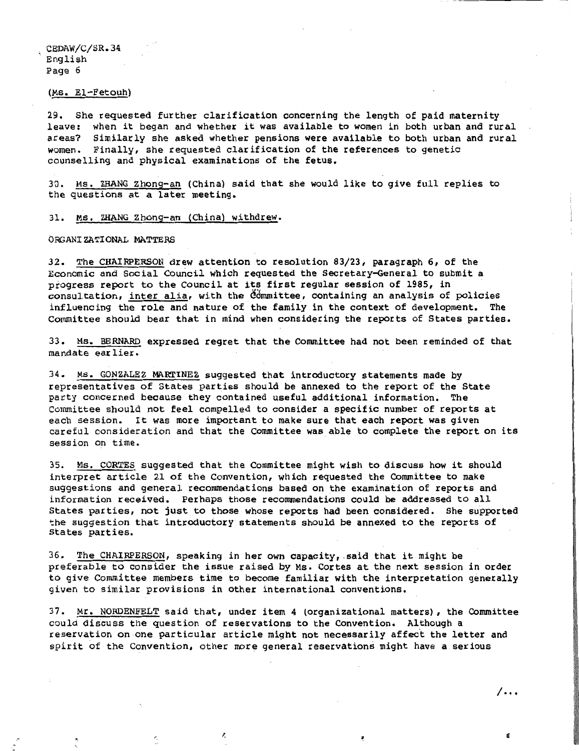#### (Ms. El-Fetouh)

29. She requested further clarification concerning the length of paid maternity leave: when it began and whether it was available to women in both urban and rural<br>areas? Similarly she asked whether pensions were available to both urban and rural Similarly she asked whether pensions were available to both urban and rural women. Finally, she requested clarification of the references to genetic counselling and physical examinations of the fetus.

30. MS. ZHANG Zhong-an (China) said that she would like to give full replies to the questions at a later meeting.

#### 31. Ms. ZHANG Zhong-an (China) withdrew.

#### ORGANIZATIONAL MATTERS

32. The CHAIRPERSON drew attention to resolution 83/23, paragraph 6, of the Economic and Social Council which requested the Secretary-General to submit a progress report to the Council at its first regular session of 1985, in  $constant$  consultation, inter alia, with the  $\ddot{\theta}$ mmittee, containing an analysis of policies influencing the role and nature of the family in the context of development. The Committee should bear that in mind when considering the reports of States parties.

33. Ms. BERNARD expressed regret that the Committee had not been reminded of that mandate earlier.

34. Ms. GONZALEZ MARTINEZ suggested that introductory statements made by representatives of States parties should be annexed to the report of the State party concerned because they contained useful additional information. The Committee should not feel compelled to consider a specific number of reports at each session. It was more important to make sure that each report was given careful consideration and that the Committee was able to complete the report on its session on time.

35. Ms. CORTES suggested that the Committee might wish to discuss how it should interpret article 21 of the Convention, which requested the Committee to make suggestions and general recommendations based on the examination of reports and information received. perhaps those recommendations could be addressed to all States parties, not just to those whose reports had been considered. She supported the suggestion that introductory statements should be annexed to the reports of States parties.

36. The CHAIRPERSON, speaking in her own capacity, said that it might be preferable to consider the issue raised by Ms. Cortes at the next session in order to give Committee members time to become familiar with the interpretation generally given to similar provisions in other international conventions.

37. Mr. NORDENFELT said that, under item 4 (organizational matters), the Committee could discuss the question of reservations to the Convention. Although a reservation on one particular article might not necessarily affect the letter and spirit of the Convention, other more general reservations might have a serious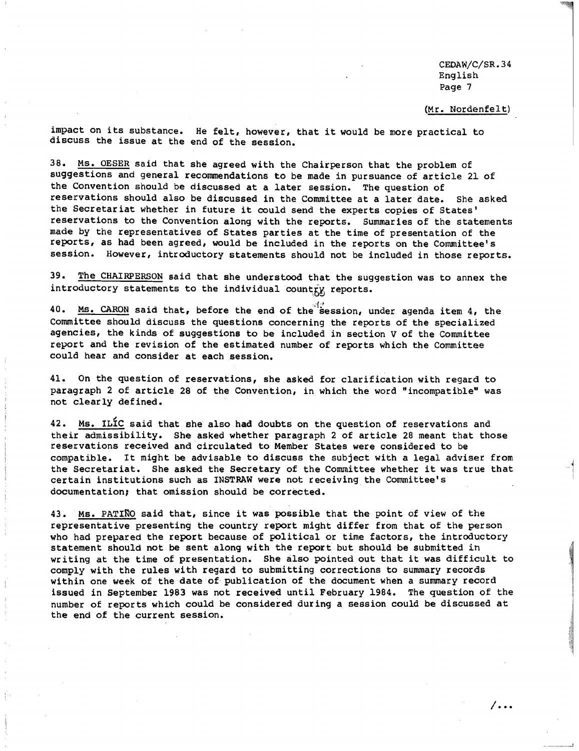**/ ...**

#### (Mr. Nordenfelt)

impact on its substance. He felt, however, that it would be more practical to discuss the issue at the end of the session.

38. Ms. OESER said that she agreed with the Chairperson that the problem of suggestions and general recommendations to be made in pursuance of article 21 of the Convention should be discussed at a later session. The question of reservations should also be discussed in the Committee at a later date. She asked the Secretariat whether in future it could send the experts copies of States' reservations to the Convention along with the reports. Summaries of the statements made by the representatives of States parties at the time of presentation of the reports, as had been agreed, would be included in the reports on the Committee's session. However, introductory statements should not be lncluded in those reports.

39. The CHAIRPERSON said that she understood that the suggestion was to annex the introductory statements to the individual country reports.

40. Ms. CARON said that, before the end of the session, under agenda item 4, the Committee should discuss the questions concerning the reports of the specialized agencies, the kinds of suggestions to be included in section V of the Committee report and the revision of the estimated number of reports which the Committee could hear and consider at each session.

41. On the question of reservations, she asked for clarification with regard to paragraph 2 of article 28 of the Convention, in which the word "incompatible" was not clearly defined.

42. Ms. ILIC said that she also had doubts on the question of reservations and their admissibility. She asked whether paragraph 2 of article 28 meant that those reservations received and circulated to Member States were considered to be compatible. It might be advisable to discuss the subject with a legal adviser from the Secretariat. She asked the Secretary of the Committee whether it was true that certain institutions such as INSTRAW were not receiving the Committee's documentation, that omission should be corrected.

43. Ms. PATINO said that, since it was possible that the point of view of the representative presenting the country report might differ from that of the person who had prepared the report because of political or time factors, the introductory statement should not be sent along with the report but should be submitted in writing at the time of presentation. She also pointed out that it was difficult to comply with the rules with regard to submitting corrections to summary records within one week of the date of publication of the document when a summary record issued in September 1983 was not received until February 1984. The question of the number of reports which could be considered during a session could be discussed at the end of the current session.